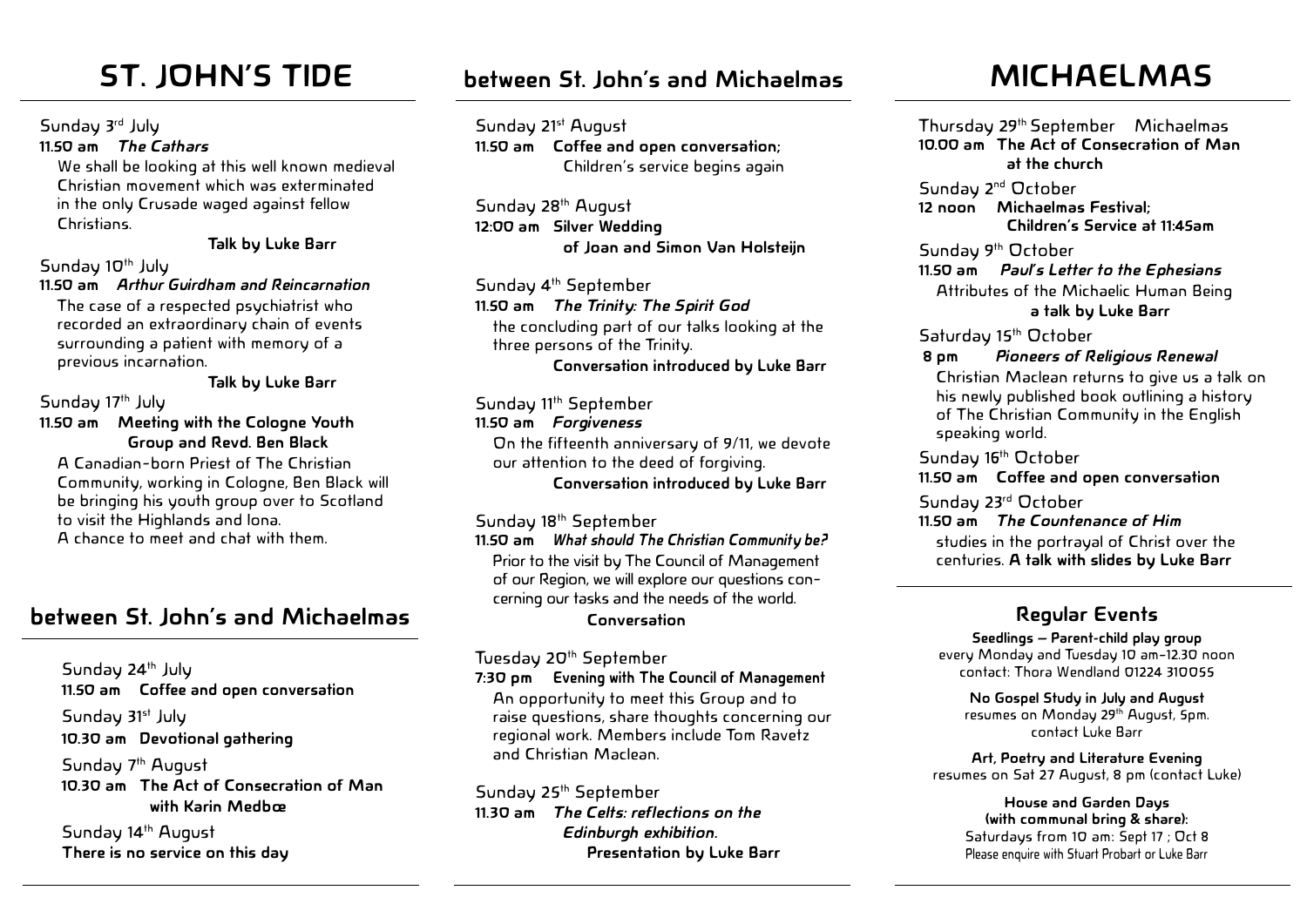Sunday 3rd July

**11.50 am** *The Cathars* 

We shall be looking at this well known medieval Christian movement which was exterminated in the only Crusade waged against fellow Christians.

**Talk by Luke Barr**

#### Sunday  $10^{th}$  July

**11.50 am** *Arthur Guirdham and Reincarnation* The case of a respected psychiatrist who recorded an extraordinary chain of events surrounding a patient with memory of a previous incarnation.

**Talk by Luke Barr**

Sunday 17<sup>th</sup> July

**11.50 am Meeting with the Cologne Youth Group and Revd. Ben Black**

A Canadian-born Priest of The Christian Community, working in Cologne, Ben Black will be bringing his youth group over to Scotland to visit the Highlands and Iona. A chance to meet and chat with them.

# **between St. John's and Michaelmas**

Sunday 24<sup>th</sup> July **11.50 am Coffee and open conversation** Sunday 31<sup>st</sup> July **10.30 am Devotional gathering**  Sunday 7<sup>th</sup> August **10.30 am The Act of Consecration of Man with Karin Medbœ**

Sunday 14<sup>th</sup> August **There is no service on this day**

# **ST. JOHN'S TIDE MICHAELMAS between St. John's and Michaelmas**

Sunday 21st August **11.50 am Coffee and open conversation;**  Children's service begins again

Sunday 28<sup>th</sup> August **12:00 am Silver Wedding of Joan and Simon Van Holsteijn**

Sunday 4<sup>th</sup> September **11.50 am** *The Trinity: The Spirit God* the concluding part of our talks looking at the three persons of the Trinity. **Conversation introduced by Luke Barr**

#### Sunday 11<sup>th</sup> September **11.50 am** *Forgiveness* On the fifteenth anniversary of 9/11, we devote

our attention to the deed of forgiving. **Conversation introduced by Luke Barr**

Sunday 18<sup>th</sup> September

**11.50 am** *What should The Christian Community be?* Prior to the visit by The Council of Management of our Region, we will explore our questions concerning our tasks and the needs of the world.

#### **Conversation**

Tuesday 20<sup>th</sup> September

**7:30 pm Evening with The Council of Management**  An opportunity to meet this Group and to raise questions, share thoughts concerning our regional work. Members include Tom Ravetz and Christian Maclean.

Sunday 25<sup>th</sup> September **11.30 am** *The Celts: reflections on the Edinburgh exhibition.*  **Presentation by Luke Barr**

Thursday 29th September Michaelmas **10.00 am The Act of Consecration of Man at the church**

Sunday 2<sup>nd</sup> October **12 noon Michaelmas Festival; Children's Service at 11:45am**

Sunday 9<sup>th</sup> October

**11.50 am** *Paul's Letter to the Ephesians* Attributes of the Michaelic Human Being  **a talk by Luke Barr**

Saturday 15<sup>th</sup> October

 **8 pm** *Pioneers of Religious Renewal*

Christian Maclean returns to give us a talk on his newly published book outlining a history of The Christian Community in the English speaking world.

Sunday 16<sup>th</sup> October **11.50 am Coffee and open conversation**

Sunday 23rd October **11.50 am** *The Countenance of Him* studies in the portrayal of Christ over the centuries. **A talk with slides by Luke Barr**

## **Regular Events**

**Seedlings – Parent-child play group** every Monday and Tuesday 10 am–12.30 noon contact: Thora Wendland 01224 310055

**No Gospel Study in July and August** resumes on Monday 29th August, 5pm. contact Luke Barr

**Art, Poetry and Literature Evening** resumes on Sat 27 August, 8 pm (contact Luke)

#### **House and Garden Days (with communal bring & share):** Saturdays from 10 am: Sept 17 ; Oct 8 Please enquire with Stuart Probart or Luke Barr